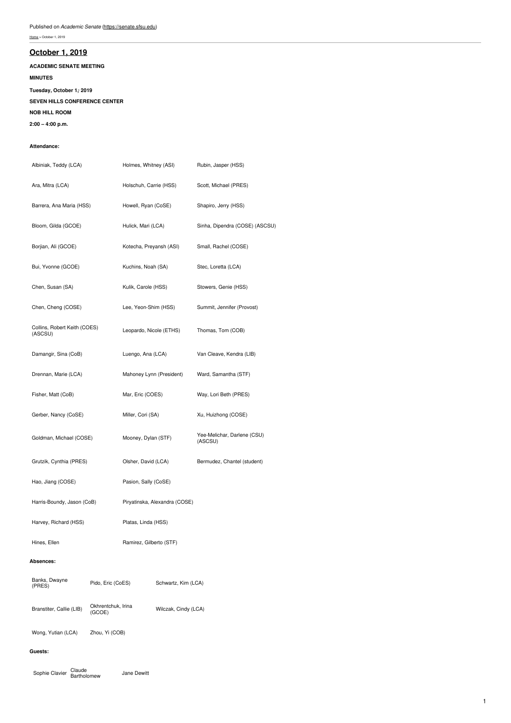# **[October](https://senate.sfsu.edu/meeting-minutes-archive/october-1-2019) 1, 2019**

**ACADEMIC SENATE MEETING**

## **MINUTES**

**Tuesday, October 1, , 2019**

## **SEVEN HILLS CONFERENCE CENTER**

**NOB HILL ROOM**

**2:00 – 4:00 p.m.**

## **Attendance:**

| Albiniak, Teddy (LCA)                        |                              | Holmes, Whitney (ASI)         |                      | Rubin, Jasper (HSS)                    |
|----------------------------------------------|------------------------------|-------------------------------|----------------------|----------------------------------------|
| Ara, Mitra (LCA)                             |                              | Holschuh, Carrie (HSS)        |                      | Scott, Michael (PRES)                  |
| Barrera, Ana Maria (HSS)                     |                              | Howell, Ryan (CoSE)           |                      | Shapiro, Jerry (HSS)                   |
| Bloom, Gilda (GCOE)                          |                              | Hulick, Mari (LCA)            |                      | Sinha, Dipendra (COSE) (ASCSU)         |
| Borjian, Ali (GCOE)                          |                              | Kotecha, Preyansh (ASI)       |                      | Small, Rachel (COSE)                   |
| Bui, Yvonne (GCOE)                           |                              | Kuchins, Noah (SA)            |                      | Stec, Loretta (LCA)                    |
| Chen, Susan (SA)                             |                              | Kulik, Carole (HSS)           |                      | Stowers, Genie (HSS)                   |
| Chen, Cheng (COSE)                           |                              | Lee, Yeon-Shim (HSS)          |                      | Summit, Jennifer (Provost)             |
| Collins, Robert Keith (COES)<br>(ASCSU)      |                              | Leopardo, Nicole (ETHS)       |                      | Thomas, Tom (COB)                      |
| Damangir, Sina (CoB)                         |                              | Luengo, Ana (LCA)             |                      | Van Cleave, Kendra (LIB)               |
| Drennan, Marie (LCA)                         |                              | Mahoney Lynn (President)      |                      | Ward, Samantha (STF)                   |
| Fisher, Matt (CoB)                           |                              | Mar, Eric (COES)              |                      | Way, Lori Beth (PRES)                  |
| Gerber, Nancy (CoSE)                         |                              | Miller, Cori (SA)             |                      | Xu, Huizhong (COSE)                    |
| Goldman, Michael (COSE)                      |                              | Mooney, Dylan (STF)           |                      | Yee-Melichar, Darlene (CSU)<br>(ASCSU) |
| Grutzik, Cynthia (PRES)                      |                              | Olsher, David (LCA)           |                      | Bermudez, Chantel (student)            |
| Hao, Jiang (COSE)                            |                              | Pasion, Sally (CoSE)          |                      |                                        |
| Harris-Boundy, Jason (CoB)                   |                              | Piryatinska, Alexandra (COSE) |                      |                                        |
| Harvey, Richard (HSS)                        |                              | Platas, Linda (HSS)           |                      |                                        |
| Hines, Ellen                                 |                              | Ramirez, Gilberto (STF)       |                      |                                        |
| <b>Absences:</b>                             |                              |                               |                      |                                        |
| Banks, Dwayne<br>Pido, Eric (CoES)<br>(PRES) |                              | Schwartz, Kim (LCA)           |                      |                                        |
| Branstiter, Callie (LIB)                     | Okhrentchuk, Irina<br>(GCOE) |                               | Wilczak, Cindy (LCA) |                                        |
| Wong, Yutian (LCA)                           | Zhou, Yi (COB)               |                               |                      |                                        |

## **Guests:**

Sophie Clavier Claude<br>Bartholomew Jane Dewitt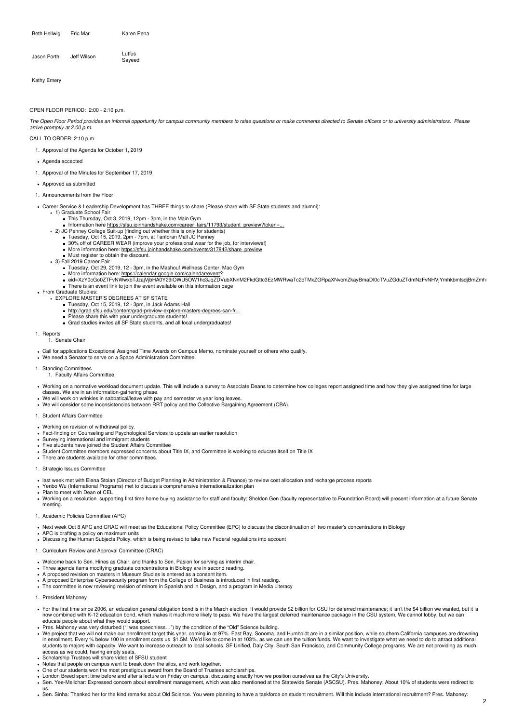Beth Hellwig Eric Mar Karen Pena

| Jeff Wilson | Lutfus |
|-------------|--------|
| Jason Porth | Sayeed |

Kathy Emery

### OPEN FLOOR PERIOD: 2:00 - 2:10 p.m.

The Open Floor Period provides an informal opportunity for campus community members to raise questions or make comments directed to Senate officers or to university administrators. Please *arrive promptly at 2:00 p.m.*

## CALL TO ORDER: 2:10 p.m.

- 1. Approval of the Agenda for October 1, 2019
- Agenda accepted
- 1. Approval of the Minutes for September 17, 2019
- Approved as submitted
- 1. Announcements from the Floor
- Career Service & Leadership Development has THREE things to share (Please share with SF State students and alumni):
	- 1) Graduate School Fair
		- This Thursday, Oct 3, 2019, 12pm 3pm, in the Main Gym  $\blacksquare$ Information here [https://sfsu.joinhandshake.com/career\\_fairs/11793/student\\_preview?token=...](https://sfsu.joinhandshake.com/career_fairs/11793/student_preview?token=T2nTm8A4q8zVVu-1-l8IGYJYhhUvN9vi_UBzkDbU3caUanS9IXZUcw)
		-
		-
		- 2) JC Penney College Suit-up (finding out whether this is only for students)<br>Fuesday, Oct 15, 2019, 2pm 7pm, at Tanforan Mall JC Penney<br>30% off of CAREER WEAR (improve your professional wear for the job, for interviews!)
			- More information here: [https://sfsu.joinhandshake.com/events/317842/share\\_preview](https://sfsu.joinhandshake.com/events/317842/share_preview)
			- Must register to obtain the discount.
	- 3) Fall 2019 Career Fair
		- Tuesday, Oct 29, 2019, 12 3pm, in the Mashouf Wellness Center, Mac Gym
		-
		- More information here: <u><https://calendar.google.com/calendar/event></u>?<br>eid=XzY0cGo0ZTFvNWwxbTJzajVjbHA0Y29iOWU5OW1hc3JqZDVubXNnM2FkdGttc3EzMWRwaTc2cTMxZGRpaXNvcmZkayBmaDI0cTVuZGduZTdmNzFvNHVjYmhkbmtsdjBmZmhı There is an event link to join the event available on this information page
- From Graduate Studies:
	- EXPLORE MASTER'S DEGREES AT SF STATE
		- $T$  Tuesday, Oct 15, 2019, 12 3pm, in Jack Adams Hall
		- [http://grad.sfsu.edu/content/grad-preview-explore-masters-degrees-san-fr...](http://grad.sfsu.edu/content/grad-preview-explore-masters-degrees-san-francisco-state)
			- Please share this with your undergraduate students!<br>Grad studies invites all SF State students, and all local undergraduates!
			-
- 1. Reports 1. Senate Chair
- Call for applications Exceptional Assigned Time Awards on Campus Memo, nominate yourself or others who qualify.
- We need a Senator to serve on a Space Administration Committee.

#### 1. Standing Committees 1. Faculty Affairs Committee

- Working on a normative workload document update. This will include a survey to Associate Deans to determine how colleges report assigned time and how they give assigned time for large classes. We are in an information-gathering phase.
- We will work on wrinkles in sabbatical/leave with pay and semester vs year long leaves.
- We will consider some inconsistencies between RRT policy and the Collective Bargaining Agreement (CBA).

### 1. Student Affairs Committee

- Working on revision of withdrawal policy.
- Fact-finding on Counseling and Psychological Services to update an earlier resolution<br>Surveying international and immigrant students
- 
- Five students have joined the Student Affairs Committee
- Student Committee members expressed concerns about Title IX, and Committee is working to educate itself on Title IX
- There are students available for other committees.

#### 1. Strategic Issues Committee

- last week met with Elena Stoian (Director of Budget Planning in Administration & Finance) to review cost allocation and recharge process reports
- Yenbo Wu (International Programs) met to discuss a comprehensive internationalization plan
- Plan to meet with Dean of CEL
- . Working on a resolution supporting first time home buying assistance for staff and faculty; Sheldon Gen (faculty representative to Foundation Board) will present information at a future Senate meeting.
- 1. Academic Policies Committee (APC)
- Next week Oct 8 APC and CRAC will meet as the Educational Policy Committee (EPC) to discuss the discontinuation of two master's concentrations in Biology
- APC is drafting a policy on maximum units
- . Discussing the Human Subjects Policy, which is being revised to take new Federal regulations into account
- 1. Curriculum Review and Approval Committee (CRAC)
- Welcome back to Sen. Hines as Chair, and thanks to Sen. Pasion for serving as interim chair.
- Three agenda items modifying graduate concentrations in Biology are in second reading. A proposed revision on masters in Museum Studies is entered as a consent item.
- 
- A proposed Enterprise Cybersecurity program from the College of Business is introduced in first reading. The committee is now reviewing revision of minors in Spanish and in Design, and a program in Media Literacy
- 1. President Mahoney
- For the first time since 2006, an education general obligation bond is in the March election. It would provide \$2 billion for CSU for deferred maintenance; it isn't the \$4 billion we wanted, but it is<br>now combined with K-1
- educate people about what they would support.<br>Pres. Mahoney was very disturbed ("I was speechless…") by the condition of the "Old" Science building.
- We project that we will not make our enrollment target this year, coming in at 97%. East Bay, Sonoma, and Humboldt are in a similar position, while southern California campuses are drowning<br>in enrollment. Every % below 100 students to majors with capacity. We want to increase outreach to local schools. SF Unified, Daly City, South San Francisco, and Community College programs. We are not providing as much
- access as we could, having empty seats.<br>Scholarship Trustees will share video of SFSU student
- Notes that people on campus want to break down the silos, and work together.
- One of our students won the most prestigious award from the Board of Trustees scholarships.
- 
- London Breed spent time before and after a lecture on Friday on campus, discussing exactly how we position ourselves as the City's University.<br>Sen. Yee-Melichar: Expressed concern about enrollment management, which was als us.
- Sen. Sinha: Thanked her for the kind remarks about Old Science. You were planning to have a taskforce on student recruitment. Will this include international recruitment? Pres. Mahoney: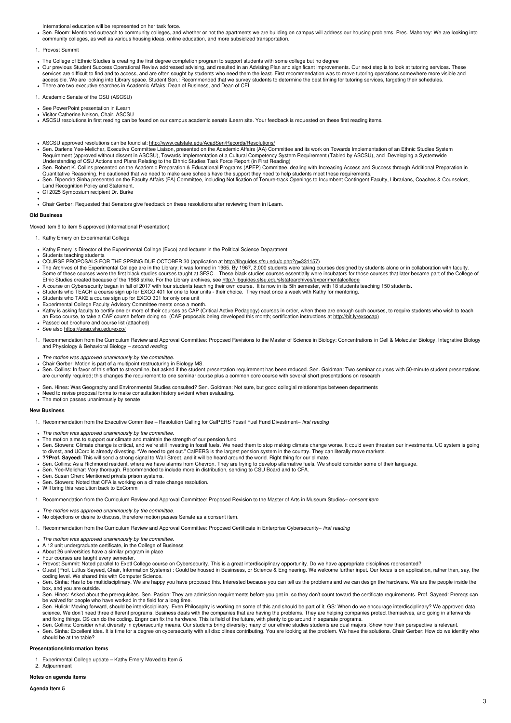International education will be represented on her task force.

Sen. Bloom: Mentioned outreach to community colleges, and whether or not the apartments we are building on campus will address our housing problems. Pres. Mahoney: We are looking into<br>community colleges, as well as various

### 1. Provost Summit

- 
- The College of Ethnic Studies is creating the first degree completion program to support students with some college but no degree<br>Our previous Student Success Operational Review addressed advising, and resulted in an Advis There are two executive searches in Academic Affairs: Dean of Business, and Dean of CEL
- 1. Academic Senate of the CSU (ASCSU)
- See PowerPoint presentation in iLearn
- 
- Visitor Catherine Nelson, Chair, ASCSU<br>ASCSU resolutions in first reading can be found on our campus academic senate iLearn site. Your feedback is requested on these first reading items.
- ASCSU approved resolutions can be found at: <http://www.calstate.edu/AcadSen/Records/Resolutions/>
- Sen. Darlene Yee-Melichar, Executive Committee Liaison, presented on the Academic Affairs (AA) Committee and its work on Towards Implementation of an Ethnic Studies System<br>Requirement (approved without dissent in ASCSU), T Understanding of CSU Actions and Plans Relating to the Ethnic Studies Task Force Report (in First Reading)
- 
- Sen. Robert K. Collins presented on the Academic Preparation & Educational Programs (APEP) Committee, dealing with Increasing Access and Success through Additional Preparation in<br>Quantitative Reasoning. He cautioned that w
- GI 2025 Symposium recipient Dr. Burke
- Chair Gerber: Requested that Senators give feedback on these resolutions after reviewing them in iLearn.

#### **Old Business**

Moved item 9 to item 5 approved (Informational Presentation)

- 1. Kathy Emery on Experimental College
- Kathy Emery is Director of the Experimental College (Exco) and lecturer in the Political Science Department
- Students teaching students
- COURSE PROPOSALS FOR THE SPRING DUE OCTOBER 30 (application at <u><http://libguides.sfsu.edu/c.php?g=331157>)</u><br>The Archives of the Experimental College are in the Library; it was formed in 1965. By 1967, 2,000 students were ta Some of these courses were the first black studies courses taught at SFSC. These black studies courses essentially were incubators for those courses that later became part of the College of<br>Ethic Studies created because of
	-
- 
- Students who TAKE a course sign up for EXCO 301 for only one unit
- 
- Experimental College Faculty Advisory Committee meets once a month.<br>Kathy is asking faculty to certify one or more of their courses as CAP (Critical Active Pedagogy) courses in order, when there are enough such courses, to
- an Exco course, to take a CAP course before doing so. (CAP proposals being developed this month; certification instructions at <http://bit.ly/excocap>) Passed out brochure and course list (attached)
- . See also https://ueap.sfsu.edu/exco
- 1. Recommendation from the Curriculum Review and Approval Committee: Proposed Revisions to the Master of Science in Biology: Concentrations in Cell & Molecular Biology, Integrative Biology and Physiology & Behavioral Biology – *second reading*
- *The motion was approved unanimously by the committee.*
- 
- Chair Gerber: Motion is part of a multipoint restructuring in Biology MS.<br>Sen. Collins: In favor of this effort to streamline, but asked if the student presentation requirement has been reduced. Sen. Goldman: Two seminar c are currently required; this changes the requirement to one seminar course plus a common core course with several short presentations on research
- Sen. Hines: Was Geography and Environmental Studies consulted? Sen. Goldman: Not sure, but good collegial relationships between departments<br>Need to revise proposal forms to make consultation history evident when evaluating
- 
- The motion passes unanimously by senate

#### **New Business**

- 1. Recommendation from the Executive Committee Resolution Calling for CalPERS Fossil Fuel Fund Divestment– *first reading*
- 
- *The motion was approved unanimously by the committee.*<br>The motion aims to support our climate and maintain the strength of our pension fund
- Sen. Stowers: Climate change is critical, and we're still investing in fossil fuels. We need them to stop making climate change worse. It could even threaten our investments. UC system is going<br>to divest, and UCorp is alre
- **??Prof. Sayeed:** This will send a strong signal to Wall Street, and it will be heard around the world. Right thing for our climate.
- Sen. Collins: As a Richmond resident, where we have alarms from Chevron. They are trying to develop alternative fuels. We should consider some of their language.
- Sen. Yee-Melichar: Very thorough. Recommended to include more in distribution, sending to CSU Board and to CFA. • Sen. Susan Chen: Mentioned private prison systems.
- Sen. Stowers: Noted that CFA is working on a climate change resolution.
- Will bring this resolution back to ExComm
- 1. Recommendation from the Curriculum Review and Approval Committee: Proposed Revision to the Master of Arts in Museum Studies– *consent item*
- *The motion was approved unanimously by the committee.*
- No objections or desire to discuss, therefore motion passes Senate as a consent item.
- 1. Recommendation from the Curriculum Review and Approval Committee: Proposed Certificate in Enterprise Cybersecurity– *first reading*
- *The motion was approved unanimously by the committee.*
- A 12 unit undergraduate certificate, in the College of Business
- About 26 universities have a similar program in place
- Four courses are taught every semester
- Provost Summit: Noted parallel to Exptl College course on Cybersecurity. This is a great interdisciplinary opportunity. Do we have appropriate disciplines represented?<br>Guest (Prof. Lutfus Sayeed, Chair, Information Systems
- coding level. We shared this with Computer Science.
- · Sen. Sinha: Has to be multidisciplinary. We are happy you have proposed this. Interested because you can tell us the problems and we can design the hardware. We are the people inside the box, and you are outside.
- Sen. Hines: Asked about the prerequisites. Sen. Pasion: They are admission requirements before you get in, so they don't count toward the certificate requirements. Prof. Sayeed: Prereqs can
- be waived for people who have worked in the field for a long time.<br>Sen. Hulick: Moving forward, should be interdisciplinary. Even Philosophy is working on some of this and should be part of it. GS: When do we encourage int science. We don't need three different programs. Business deals with the companies that are having the problems. They are helping companies protect themselves, and going in afterwards<br>and fixing things. CS can do the codin
- 
- Sen. Collins: Consider what diversity in cybersecurity means. Our students bring diversity; many of our ethnic studies students are dual majors. Show how their perspective is relevant.<br>Sen. Sinha: Excellent idea. It is tim should be at the table?

#### **Presentations/Information Items**

- Experimental College update Kathy Emery Moved to Item 5.
- 2. Adjournment